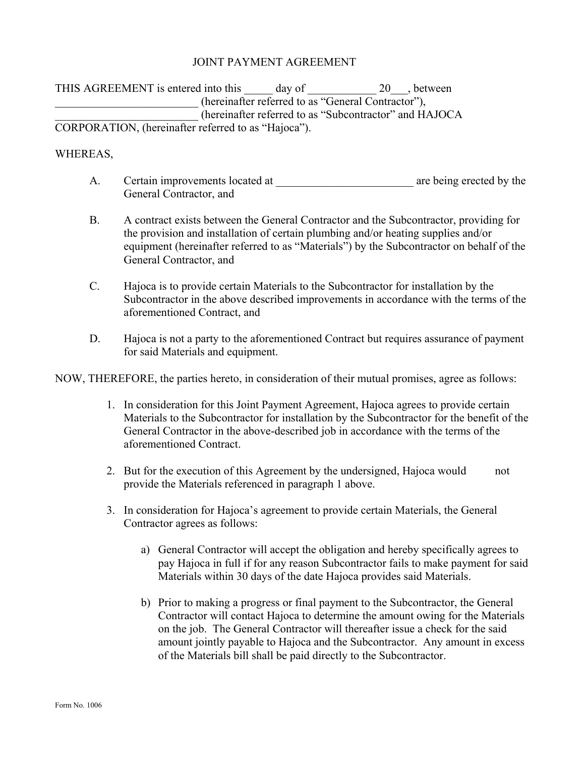## JOINT PAYMENT AGREEMENT

THIS AGREEMENT is entered into this day of 20 between (hereinafter referred to as "General Contractor"), \_\_\_\_\_\_\_\_\_\_\_\_\_\_\_\_\_\_\_\_\_\_\_\_\_ (hereinafter referred to as "Subcontractor" and HAJOCA CORPORATION, (hereinafter referred to as "Hajoca").

## WHEREAS,

- A. Certain improvements located at \_\_\_\_\_\_\_\_\_\_\_\_\_\_\_\_\_\_\_\_\_\_\_\_ are being erected by the General Contractor, and
- B. A contract exists between the General Contractor and the Subcontractor, providing for the provision and installation of certain plumbing and/or heating supplies and/or equipment (hereinafter referred to as "Materials") by the Subcontractor on behalf of the General Contractor, and
- C. Hajoca is to provide certain Materials to the Subcontractor for installation by the Subcontractor in the above described improvements in accordance with the terms of the aforementioned Contract, and
- D. Hajoca is not a party to the aforementioned Contract but requires assurance of payment for said Materials and equipment.

NOW, THEREFORE, the parties hereto, in consideration of their mutual promises, agree as follows:

- 1. In consideration for this Joint Payment Agreement, Hajoca agrees to provide certain Materials to the Subcontractor for installation by the Subcontractor for the benefit of the General Contractor in the above-described job in accordance with the terms of the aforementioned Contract.
- 2. But for the execution of this Agreement by the undersigned, Hajoca would not provide the Materials referenced in paragraph 1 above.
- 3. In consideration for Hajoca's agreement to provide certain Materials, the General Contractor agrees as follows:
	- a) General Contractor will accept the obligation and hereby specifically agrees to pay Hajoca in full if for any reason Subcontractor fails to make payment for said Materials within 30 days of the date Hajoca provides said Materials.
	- b) Prior to making a progress or final payment to the Subcontractor, the General Contractor will contact Hajoca to determine the amount owing for the Materials on the job. The General Contractor will thereafter issue a check for the said amount jointly payable to Hajoca and the Subcontractor. Any amount in excess of the Materials bill shall be paid directly to the Subcontractor.